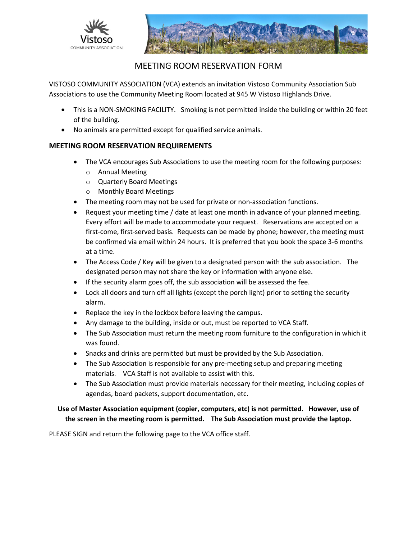



## MEETING ROOM RESERVATION FORM

VISTOSO COMMUNITY ASSOCIATION (VCA) extends an invitation Vistoso Community Association Sub Associations to use the Community Meeting Room located at 945 W Vistoso Highlands Drive.

- This is a NON-SMOKING FACILITY. Smoking is not permitted inside the building or within 20 feet of the building.
- No animals are permitted except for qualified service animals.

## **MEETING ROOM RESERVATION REQUIREMENTS**

- The VCA encourages Sub Associations to use the meeting room for the following purposes:
	- o Annual Meeting
	- o Quarterly Board Meetings
	- o Monthly Board Meetings
- The meeting room may not be used for private or non-association functions.
- Request your meeting time / date at least one month in advance of your planned meeting. Every effort will be made to accommodate your request. Reservations are accepted on a first-come, first-served basis. Requests can be made by phone; however, the meeting must be confirmed via email within 24 hours. It is preferred that you book the space 3-6 months at a time.
- The Access Code / Key will be given to a designated person with the sub association. The designated person may not share the key or information with anyone else.
- If the security alarm goes off, the sub association will be assessed the fee.
- Lock all doors and turn off all lights (except the porch light) prior to setting the security alarm.
- Replace the key in the lockbox before leaving the campus.
- Any damage to the building, inside or out, must be reported to VCA Staff.
- The Sub Association must return the meeting room furniture to the configuration in which it was found.
- Snacks and drinks are permitted but must be provided by the Sub Association.
- The Sub Association is responsible for any pre-meeting setup and preparing meeting materials. VCA Staff is not available to assist with this.
- The Sub Association must provide materials necessary for their meeting, including copies of agendas, board packets, support documentation, etc.

## **Use of Master Association equipment (copier, computers, etc) is not permitted. However, use of the screen in the meeting room is permitted. The Sub Association must provide the laptop.**

PLEASE SIGN and return the following page to the VCA office staff.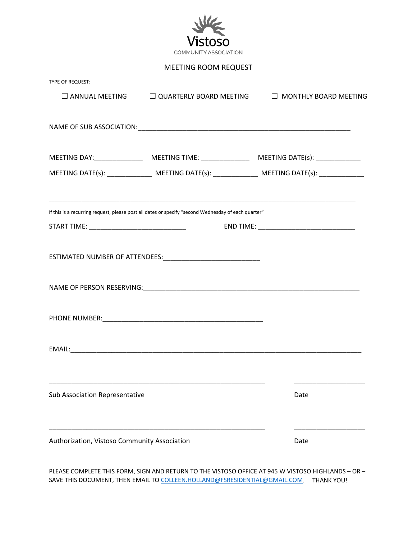

MEETING ROOM REQUEST

| TYPE OF REQUEST:                             |                                                                                                     |      |
|----------------------------------------------|-----------------------------------------------------------------------------------------------------|------|
|                                              | $\square$ ANNUAL MEETING $\square$ QUARTERLY BOARD MEETING $\square$ MONTHLY BOARD MEETING          |      |
|                                              |                                                                                                     |      |
|                                              |                                                                                                     |      |
|                                              |                                                                                                     |      |
|                                              |                                                                                                     |      |
|                                              |                                                                                                     |      |
|                                              | If this is a recurring request, please post all dates or specify "second Wednesday of each quarter" |      |
|                                              |                                                                                                     |      |
|                                              |                                                                                                     |      |
|                                              |                                                                                                     |      |
|                                              |                                                                                                     |      |
|                                              |                                                                                                     |      |
|                                              |                                                                                                     |      |
|                                              |                                                                                                     |      |
|                                              |                                                                                                     |      |
|                                              |                                                                                                     |      |
| <b>Sub Association Representative</b>        |                                                                                                     | Date |
|                                              |                                                                                                     |      |
| Authorization, Vistoso Community Association |                                                                                                     | Date |
|                                              |                                                                                                     |      |

PLEASE COMPLETE THIS FORM, SIGN AND RETURN TO THE VISTOSO OFFICE AT 945 W VISTOSO HIGHLANDS – OR – SAVE THIS DOCUMENT, THEN EMAIL TO [COLLEEN.HOLLAND@FSRESIDENTIAL@GMAIL.COM.](mailto:COLLEEN.HOLLAND@FSRESIDENTIAL@GMAIL.COM) THANK YOU!